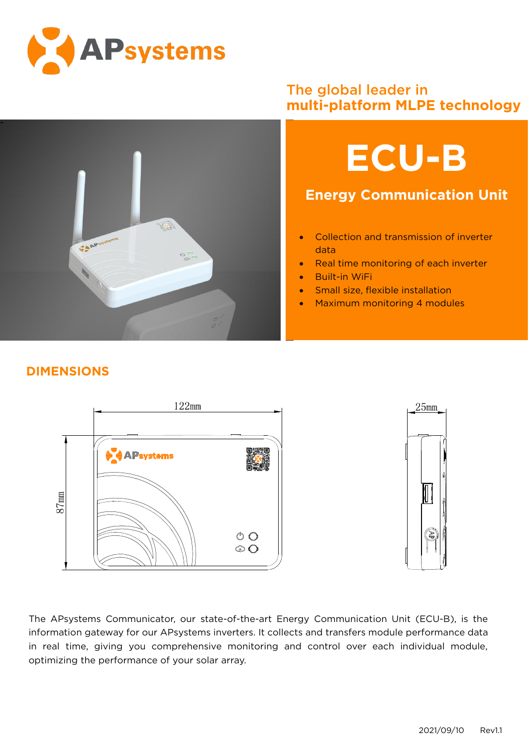



## The global leader in **multi-platform MLPE technology**



## **Energy Communication Unit**

- Collection and transmission of inverter data
- Real time monitoring of each inverter
- Built-in WiFi
- Small size, flexible installation
- Maximum monitoring 4 modules

## **DIMENSIONS**



The APsystems Communicator, our state-of-the-art Energy Communication Unit (ECU-B), is the information gateway for our APsystems inverters. It collects and transfers module performance data in real time, giving you comprehensive monitoring and control over each individual module, optimizing the performance of your solar array.